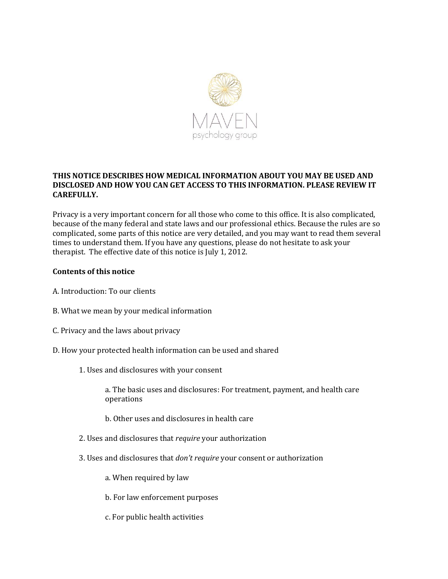

# **THIS NOTICE DESCRIBES HOW MEDICAL INFORMATION ABOUT YOU MAY BE USED AND DISCLOSED AND HOW YOU CAN GET ACCESS TO THIS INFORMATION. PLEASE REVIEW IT CAREFULLY.**

Privacy is a very important concern for all those who come to this office. It is also complicated, because of the many federal and state laws and our professional ethics. Because the rules are so complicated, some parts of this notice are very detailed, and you may want to read them several times to understand them. If you have any questions, please do not hesitate to ask your therapist. The effective date of this notice is July 1, 2012.

### **Contents of this notice**

- A. Introduction: To our clients
- B. What we mean by your medical information
- C. Privacy and the laws about privacy
- D. How your protected health information can be used and shared
	- 1. Uses and disclosures with your consent

a. The basic uses and disclosures: For treatment, payment, and health care operations

- b. Other uses and disclosures in health care
- 2. Uses and disclosures that *require* your authorization
- 3. Uses and disclosures that *don't require* your consent or authorization
	- a. When required by law
	- b. For law enforcement purposes
	- c. For public health activities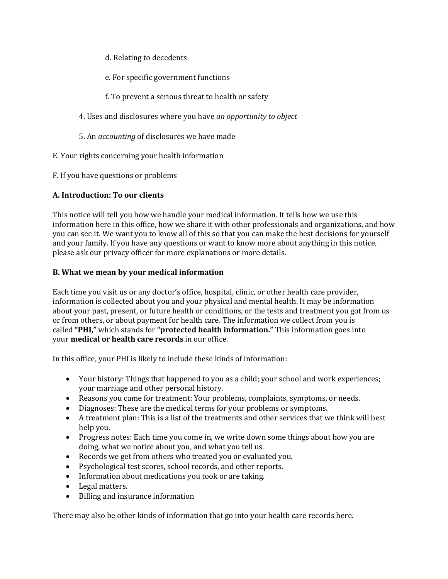- d. Relating to decedents
- e. For specific government functions
- f. To prevent a serious threat to health or safety
- 4. Uses and disclosures where you have *an opportunity to object*
- 5. An *accounting* of disclosures we have made
- E. Your rights concerning your health information
- F. If you have questions or problems

# **A. Introduction: To our clients**

This notice will tell you how we handle your medical information. It tells how we use this information here in this office, how we share it with other professionals and organizations, and how you can see it. We want you to know all of this so that you can make the best decisions for yourself and your family. If you have any questions or want to know more about anything in this notice, please ask our privacy officer for more explanations or more details.

### **B. What we mean by your medical information**

Each time you visit us or any doctor's office, hospital, clinic, or other health care provider, information is collected about you and your physical and mental health. It may be information about your past, present, or future health or conditions, or the tests and treatment you got from us or from others, or about payment for health care. The information we collect from you is called **"PHI,"** which stands for **"protected health information."** This information goes into your **medical or health care records** in our office.

In this office, your PHI is likely to include these kinds of information:

- Your history: Things that happened to you as a child; your school and work experiences; your marriage and other personal history.
- Reasons you came for treatment: Your problems, complaints, symptoms, or needs.
- Diagnoses: These are the medical terms for your problems or symptoms.
- A treatment plan: This is a list of the treatments and other services that we think will best help you.
- Progress notes: Each time you come in, we write down some things about how you are doing, what we notice about you, and what you tell us.
- Records we get from others who treated you or evaluated you.
- Psychological test scores, school records, and other reports.
- Information about medications you took or are taking.
- Legal matters.
- Billing and insurance information

There may also be other kinds of information that go into your health care records here.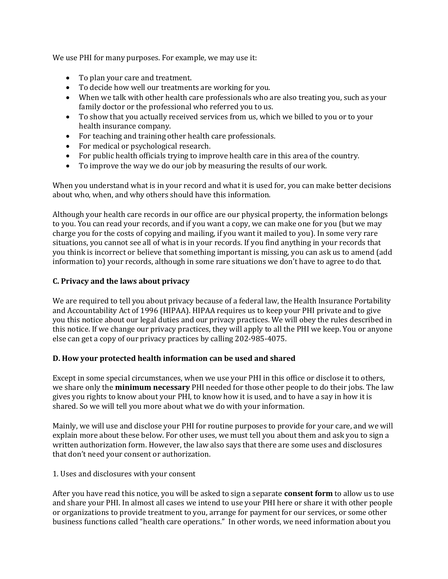We use PHI for many purposes. For example, we may use it:

- To plan your care and treatment.
- To decide how well our treatments are working for you.
- When we talk with other health care professionals who are also treating you, such as your family doctor or the professional who referred you to us.
- To show that you actually received services from us, which we billed to you or to your health insurance company.
- For teaching and training other health care professionals.
- For medical or psychological research.
- For public health officials trying to improve health care in this area of the country.
- To improve the way we do our job by measuring the results of our work.

When you understand what is in your record and what it is used for, you can make better decisions about who, when, and why others should have this information.

Although your health care records in our office are our physical property, the information belongs to you. You can read your records, and if you want a copy, we can make one for you (but we may charge you for the costs of copying and mailing, if you want it mailed to you). In some very rare situations, you cannot see all of what is in your records. If you find anything in your records that you think is incorrect or believe that something important is missing, you can ask us to amend (add information to) your records, although in some rare situations we don't have to agree to do that.

# **C. Privacy and the laws about privacy**

We are required to tell you about privacy because of a federal law, the Health Insurance Portability and Accountability Act of 1996 (HIPAA). HIPAA requires us to keep your PHI private and to give you this notice about our legal duties and our privacy practices. We will obey the rules described in this notice. If we change our privacy practices, they will apply to all the PHI we keep. You or anyone else can get a copy of our privacy practices by calling 202-985-4075.

### **D. How your protected health information can be used and shared**

Except in some special circumstances, when we use your PHI in this office or disclose it to others, we share only the **minimum necessary** PHI needed for those other people to do their jobs. The law gives you rights to know about your PHI, to know how it is used, and to have a say in how it is shared. So we will tell you more about what we do with your information.

Mainly, we will use and disclose your PHI for routine purposes to provide for your care, and we will explain more about these below. For other uses, we must tell you about them and ask you to sign a written authorization form. However, the law also says that there are some uses and disclosures that don't need your consent or authorization.

### 1. Uses and disclosures with your consent

After you have read this notice, you will be asked to sign a separate **consent form** to allow us to use and share your PHI. In almost all cases we intend to use your PHI here or share it with other people or organizations to provide treatment to you, arrange for payment for our services, or some other business functions called "health care operations." In other words, we need information about you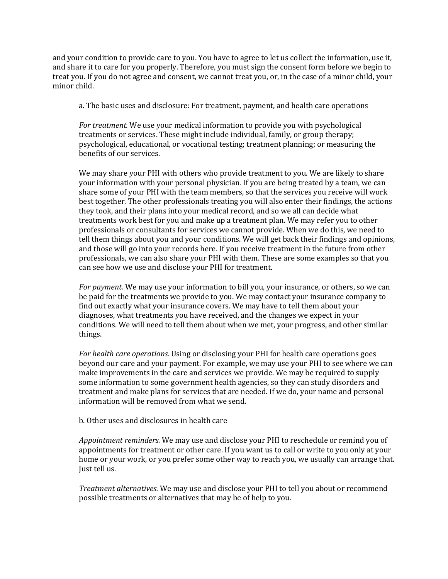and your condition to provide care to you. You have to agree to let us collect the information, use it, and share it to care for you properly. Therefore, you must sign the consent form before we begin to treat you. If you do not agree and consent, we cannot treat you, or, in the case of a minor child, your minor child.

a. The basic uses and disclosure: For treatment, payment, and health care operations

*For treatment.* We use your medical information to provide you with psychological treatments or services. These might include individual, family, or group therapy; psychological, educational, or vocational testing; treatment planning; or measuring the benefits of our services.

We may share your PHI with others who provide treatment to you. We are likely to share your information with your personal physician. If you are being treated by a team, we can share some of your PHI with the team members, so that the services you receive will work best together. The other professionals treating you will also enter their findings, the actions they took, and their plans into your medical record, and so we all can decide what treatments work best for you and make up a treatment plan. We may refer you to other professionals or consultants for services we cannot provide. When we do this, we need to tell them things about you and your conditions. We will get back their findings and opinions, and those will go into your records here. If you receive treatment in the future from other professionals, we can also share your PHI with them. These are some examples so that you can see how we use and disclose your PHI for treatment.

*For payment.* We may use your information to bill you, your insurance, or others, so we can be paid for the treatments we provide to you. We may contact your insurance company to find out exactly what your insurance covers. We may have to tell them about your diagnoses, what treatments you have received, and the changes we expect in your conditions. We will need to tell them about when we met, your progress, and other similar things.

*For health care operations.* Using or disclosing your PHI for health care operations goes beyond our care and your payment. For example, we may use your PHI to see where we can make improvements in the care and services we provide. We may be required to supply some information to some government health agencies, so they can study disorders and treatment and make plans for services that are needed. If we do, your name and personal information will be removed from what we send.

b. Other uses and disclosures in health care

*Appointment reminders.* We may use and disclose your PHI to reschedule or remind you of appointments for treatment or other care. If you want us to call or write to you only at your home or your work, or you prefer some other way to reach you, we usually can arrange that. Just tell us.

*Treatment alternatives.* We may use and disclose your PHI to tell you about or recommend possible treatments or alternatives that may be of help to you.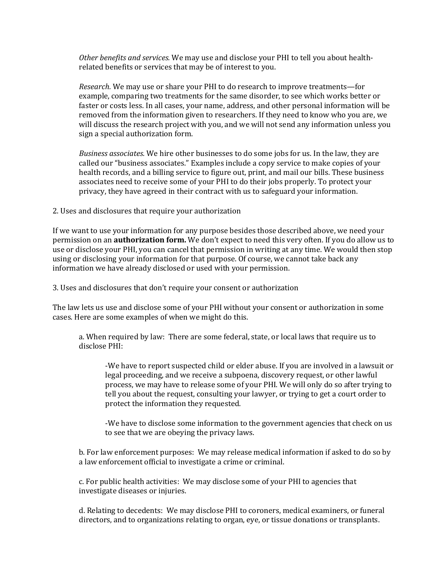*Other benefits and services.* We may use and disclose your PHI to tell you about healthrelated benefits or services that may be of interest to you.

*Research.* We may use or share your PHI to do research to improve treatments—for example, comparing two treatments for the same disorder, to see which works better or faster or costs less. In all cases, your name, address, and other personal information will be removed from the information given to researchers. If they need to know who you are, we will discuss the research project with you, and we will not send any information unless you sign a special authorization form.

*Business associates.* We hire other businesses to do some jobs for us. In the law, they are called our "business associates." Examples include a copy service to make copies of your health records, and a billing service to figure out, print, and mail our bills. These business associates need to receive some of your PHI to do their jobs properly. To protect your privacy, they have agreed in their contract with us to safeguard your information.

2. Uses and disclosures that require your authorization

If we want to use your information for any purpose besides those described above, we need your permission on an **authorization form.** We don't expect to need this very often. If you do allow us to use or disclose your PHI, you can cancel that permission in writing at any time. We would then stop using or disclosing your information for that purpose. Of course, we cannot take back any information we have already disclosed or used with your permission.

3. Uses and disclosures that don't require your consent or authorization

The law lets us use and disclose some of your PHI without your consent or authorization in some cases. Here are some examples of when we might do this.

a. When required by law: There are some federal, state, or local laws that require us to disclose PHI:

-We have to report suspected child or elder abuse. If you are involved in a lawsuit or legal proceeding, and we receive a subpoena, discovery request, or other lawful process, we may have to release some of your PHI. We will only do so after trying to tell you about the request, consulting your lawyer, or trying to get a court order to protect the information they requested.

-We have to disclose some information to the government agencies that check on us to see that we are obeying the privacy laws.

b. For law enforcement purposes: We may release medical information if asked to do so by a law enforcement official to investigate a crime or criminal.

c. For public health activities: We may disclose some of your PHI to agencies that investigate diseases or injuries.

d. Relating to decedents: We may disclose PHI to coroners, medical examiners, or funeral directors, and to organizations relating to organ, eye, or tissue donations or transplants.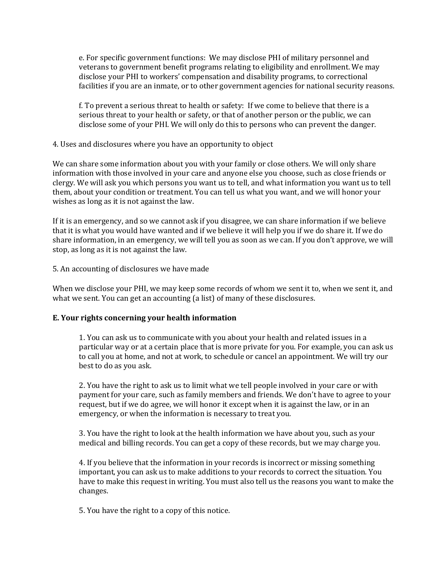e. For specific government functions: We may disclose PHI of military personnel and veterans to government benefit programs relating to eligibility and enrollment. We may disclose your PHI to workers' compensation and disability programs, to correctional facilities if you are an inmate, or to other government agencies for national security reasons.

f. To prevent a serious threat to health or safety: If we come to believe that there is a serious threat to your health or safety, or that of another person or the public, we can disclose some of your PHI. We will only do this to persons who can prevent the danger.

#### 4. Uses and disclosures where you have an opportunity to object

We can share some information about you with your family or close others. We will only share information with those involved in your care and anyone else you choose, such as close friends or clergy. We will ask you which persons you want us to tell, and what information you want us to tell them, about your condition or treatment. You can tell us what you want, and we will honor your wishes as long as it is not against the law.

If it is an emergency, and so we cannot ask if you disagree, we can share information if we believe that it is what you would have wanted and if we believe it will help you if we do share it. If we do share information, in an emergency, we will tell you as soon as we can. If you don't approve, we will stop, as long as it is not against the law.

5. An accounting of disclosures we have made

When we disclose your PHI, we may keep some records of whom we sent it to, when we sent it, and what we sent. You can get an accounting (a list) of many of these disclosures.

#### **E. Your rights concerning your health information**

1. You can ask us to communicate with you about your health and related issues in a particular way or at a certain place that is more private for you. For example, you can ask us to call you at home, and not at work, to schedule or cancel an appointment. We will try our best to do as you ask.

2. You have the right to ask us to limit what we tell people involved in your care or with payment for your care, such as family members and friends. We don't have to agree to your request, but if we do agree, we will honor it except when it is against the law, or in an emergency, or when the information is necessary to treat you.

3. You have the right to look at the health information we have about you, such as your medical and billing records. You can get a copy of these records, but we may charge you.

4. If you believe that the information in your records is incorrect or missing something important, you can ask us to make additions to your records to correct the situation. You have to make this request in writing. You must also tell us the reasons you want to make the changes.

5. You have the right to a copy of this notice.